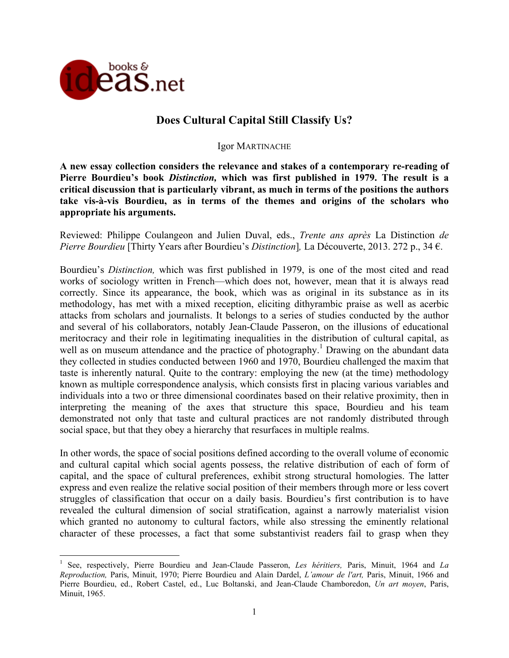

!!!!!!!!!!!!!!!!!!!!!!!!!!!!!!!!!!!!!!!!!!!!!!!!!!!!!!!!!!!

# **Does Cultural Capital Still Classify Us?**

### Igor MARTINACHE

**A new essay collection considers the relevance and stakes of a contemporary re-reading of Pierre Bourdieu's book** *Distinction,* **which was first published in 1979. The result is a critical discussion that is particularly vibrant, as much in terms of the positions the authors take vis-à-vis Bourdieu, as in terms of the themes and origins of the scholars who appropriate his arguments.** 

Reviewed: Philippe Coulangeon and Julien Duval, eds., *Trente ans après* La Distinction *de Pierre Bourdieu* [Thirty Years after Bourdieu's *Distinction*]*,* La Découverte, 2013. 272 p., 34 €.

Bourdieu's *Distinction,* which was first published in 1979, is one of the most cited and read works of sociology written in French—which does not, however, mean that it is always read correctly. Since its appearance, the book, which was as original in its substance as in its methodology, has met with a mixed reception, eliciting dithyrambic praise as well as acerbic attacks from scholars and journalists. It belongs to a series of studies conducted by the author and several of his collaborators, notably Jean-Claude Passeron, on the illusions of educational meritocracy and their role in legitimating inequalities in the distribution of cultural capital, as well as on museum attendance and the practice of photography.<sup>1</sup> Drawing on the abundant data they collected in studies conducted between 1960 and 1970, Bourdieu challenged the maxim that taste is inherently natural. Quite to the contrary: employing the new (at the time) methodology known as multiple correspondence analysis, which consists first in placing various variables and individuals into a two or three dimensional coordinates based on their relative proximity, then in interpreting the meaning of the axes that structure this space, Bourdieu and his team demonstrated not only that taste and cultural practices are not randomly distributed through social space, but that they obey a hierarchy that resurfaces in multiple realms.

In other words, the space of social positions defined according to the overall volume of economic and cultural capital which social agents possess, the relative distribution of each of form of capital, and the space of cultural preferences, exhibit strong structural homologies. The latter express and even realize the relative social position of their members through more or less covert struggles of classification that occur on a daily basis. Bourdieu's first contribution is to have revealed the cultural dimension of social stratification, against a narrowly materialist vision which granted no autonomy to cultural factors, while also stressing the eminently relational character of these processes, a fact that some substantivist readers fail to grasp when they

<sup>1</sup> See, respectively, Pierre Bourdieu and Jean-Claude Passeron, *Les héritiers,* Paris, Minuit, 1964 and *La Reproduction,* Paris, Minuit, 1970; Pierre Bourdieu and Alain Dardel, *L'amour de l'art,* Paris, Minuit, 1966 and Pierre Bourdieu, ed., Robert Castel, ed., Luc Boltanski, and Jean-Claude Chamboredon, *Un art moyen*, Paris, Minuit, 1965.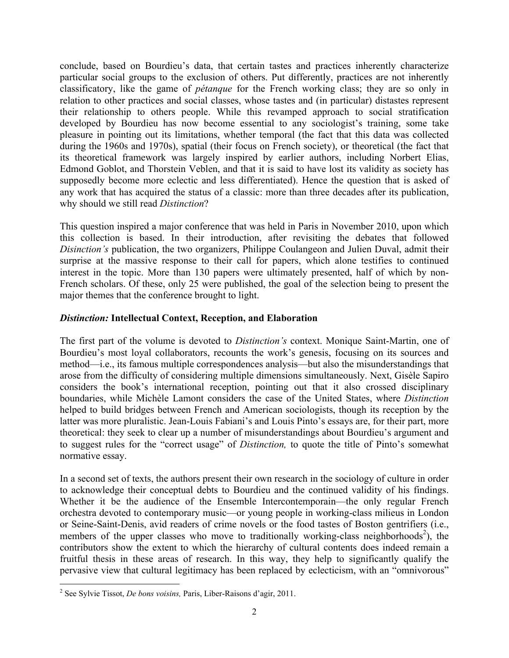conclude, based on Bourdieu's data, that certain tastes and practices inherently characterize particular social groups to the exclusion of others. Put differently, practices are not inherently classificatory, like the game of *pétanque* for the French working class; they are so only in relation to other practices and social classes, whose tastes and (in particular) distastes represent their relationship to others people. While this revamped approach to social stratification developed by Bourdieu has now become essential to any sociologist's training, some take pleasure in pointing out its limitations, whether temporal (the fact that this data was collected during the 1960s and 1970s), spatial (their focus on French society), or theoretical (the fact that its theoretical framework was largely inspired by earlier authors, including Norbert Elias, Edmond Goblot, and Thorstein Veblen, and that it is said to have lost its validity as society has supposedly become more eclectic and less differentiated). Hence the question that is asked of any work that has acquired the status of a classic: more than three decades after its publication, why should we still read *Distinction*?

This question inspired a major conference that was held in Paris in November 2010, upon which this collection is based. In their introduction, after revisiting the debates that followed *Disinction's* publication, the two organizers, Philippe Coulangeon and Julien Duval, admit their surprise at the massive response to their call for papers, which alone testifies to continued interest in the topic. More than 130 papers were ultimately presented, half of which by non-French scholars. Of these, only 25 were published, the goal of the selection being to present the major themes that the conference brought to light.

## *Distinction:* **Intellectual Context, Reception, and Elaboration**

The first part of the volume is devoted to *Distinction's* context. Monique Saint-Martin, one of Bourdieu's most loyal collaborators, recounts the work's genesis, focusing on its sources and method—i.e., its famous multiple correspondences analysis—but also the misunderstandings that arose from the difficulty of considering multiple dimensions simultaneously. Next, Gisèle Sapiro considers the book's international reception, pointing out that it also crossed disciplinary boundaries, while Michèle Lamont considers the case of the United States, where *Distinction* helped to build bridges between French and American sociologists, though its reception by the latter was more pluralistic. Jean-Louis Fabiani's and Louis Pinto's essays are, for their part, more theoretical: they seek to clear up a number of misunderstandings about Bourdieu's argument and to suggest rules for the "correct usage" of *Distinction,* to quote the title of Pinto's somewhat normative essay.

In a second set of texts, the authors present their own research in the sociology of culture in order to acknowledge their conceptual debts to Bourdieu and the continued validity of his findings. Whether it be the audience of the Ensemble Intercontemporain—the only regular French orchestra devoted to contemporary music—or young people in working-class milieus in London or Seine-Saint-Denis, avid readers of crime novels or the food tastes of Boston gentrifiers (i.e., members of the upper classes who move to traditionally working-class neighborhoods<sup>2</sup>), the contributors show the extent to which the hierarchy of cultural contents does indeed remain a fruitful thesis in these areas of research. In this way, they help to significantly qualify the pervasive view that cultural legitimacy has been replaced by eclecticism, with an "omnivorous"

<sup>!!!!!!!!!!!!!!!!!!!!!!!!!!!!!!!!!!!!!!!!!!!!!!!!!!!!!!!!!!!</sup> 2 See Sylvie Tissot, *De bons voisins,* Paris, Liber-Raisons d'agir, 2011.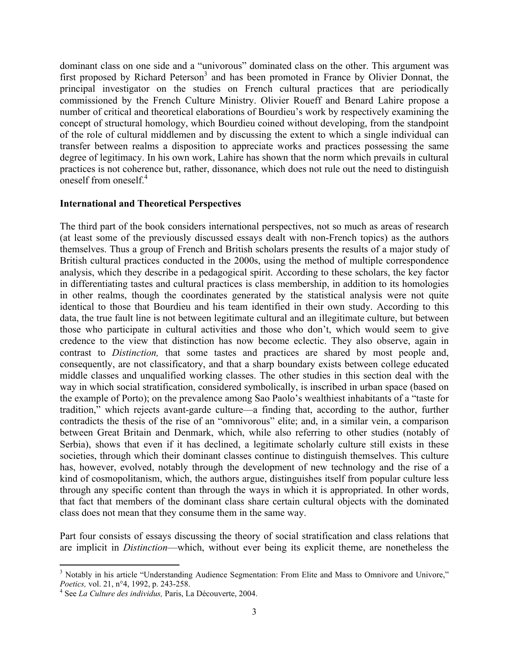dominant class on one side and a "univorous" dominated class on the other. This argument was first proposed by Richard Peterson<sup>3</sup> and has been promoted in France by Olivier Donnat, the principal investigator on the studies on French cultural practices that are periodically commissioned by the French Culture Ministry. Olivier Roueff and Benard Lahire propose a number of critical and theoretical elaborations of Bourdieu's work by respectively examining the concept of structural homology, which Bourdieu coined without developing, from the standpoint of the role of cultural middlemen and by discussing the extent to which a single individual can transfer between realms a disposition to appreciate works and practices possessing the same degree of legitimacy. In his own work, Lahire has shown that the norm which prevails in cultural practices is not coherence but, rather, dissonance, which does not rule out the need to distinguish oneself from oneself<sup> $4$ </sup>

#### **International and Theoretical Perspectives**

The third part of the book considers international perspectives, not so much as areas of research (at least some of the previously discussed essays dealt with non-French topics) as the authors themselves. Thus a group of French and British scholars presents the results of a major study of British cultural practices conducted in the 2000s, using the method of multiple correspondence analysis, which they describe in a pedagogical spirit. According to these scholars, the key factor in differentiating tastes and cultural practices is class membership, in addition to its homologies in other realms, though the coordinates generated by the statistical analysis were not quite identical to those that Bourdieu and his team identified in their own study. According to this data, the true fault line is not between legitimate cultural and an illegitimate culture, but between those who participate in cultural activities and those who don't, which would seem to give credence to the view that distinction has now become eclectic. They also observe, again in contrast to *Distinction,* that some tastes and practices are shared by most people and, consequently, are not classificatory, and that a sharp boundary exists between college educated middle classes and unqualified working classes. The other studies in this section deal with the way in which social stratification, considered symbolically, is inscribed in urban space (based on the example of Porto); on the prevalence among Sao Paolo's wealthiest inhabitants of a "taste for tradition," which rejects avant-garde culture—a finding that, according to the author, further contradicts the thesis of the rise of an "omnivorous" elite; and, in a similar vein, a comparison between Great Britain and Denmark, which, while also referring to other studies (notably of Serbia), shows that even if it has declined, a legitimate scholarly culture still exists in these societies, through which their dominant classes continue to distinguish themselves. This culture has, however, evolved, notably through the development of new technology and the rise of a kind of cosmopolitanism, which, the authors argue, distinguishes itself from popular culture less through any specific content than through the ways in which it is appropriated. In other words, that fact that members of the dominant class share certain cultural objects with the dominated class does not mean that they consume them in the same way.

Part four consists of essays discussing the theory of social stratification and class relations that are implicit in *Distinction*—which, without ever being its explicit theme, are nonetheless the

<sup>!!!!!!!!!!!!!!!!!!!!!!!!!!!!!!!!!!!!!!!!!!!!!!!!!!!!!!!!!!!</sup> <sup>3</sup> Notably in his article "Understanding Audience Segmentation: From Elite and Mass to Omnivore and Univore," *Poetics,* vol. 21, n°4, 1992, p. 243-258. <sup>4</sup>

See *La Culture des individus,* Paris, La Découverte, 2004.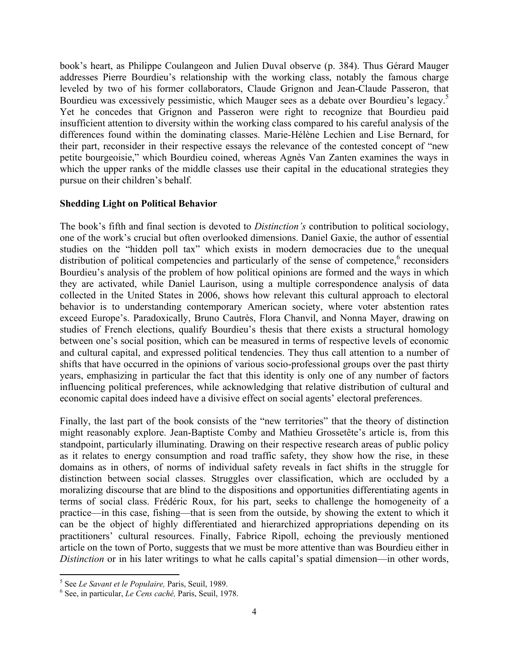book's heart, as Philippe Coulangeon and Julien Duval observe (p. 384). Thus Gérard Mauger addresses Pierre Bourdieu's relationship with the working class, notably the famous charge leveled by two of his former collaborators, Claude Grignon and Jean-Claude Passeron, that Bourdieu was excessively pessimistic, which Mauger sees as a debate over Bourdieu's legacy.<sup>5</sup> Yet he concedes that Grignon and Passeron were right to recognize that Bourdieu paid insufficient attention to diversity within the working class compared to his careful analysis of the differences found within the dominating classes. Marie-Hélène Lechien and Lise Bernard, for their part, reconsider in their respective essays the relevance of the contested concept of "new petite bourgeoisie," which Bourdieu coined, whereas Agnès Van Zanten examines the ways in which the upper ranks of the middle classes use their capital in the educational strategies they pursue on their children's behalf.

## **Shedding Light on Political Behavior**

The book's fifth and final section is devoted to *Distinction's* contribution to political sociology, one of the work's crucial but often overlooked dimensions. Daniel Gaxie, the author of essential studies on the "hidden poll tax" which exists in modern democracies due to the unequal distribution of political competencies and particularly of the sense of competence,  $6$  reconsiders Bourdieu's analysis of the problem of how political opinions are formed and the ways in which they are activated, while Daniel Laurison, using a multiple correspondence analysis of data collected in the United States in 2006, shows how relevant this cultural approach to electoral behavior is to understanding contemporary American society, where voter abstention rates exceed Europe's. Paradoxically, Bruno Cautrès, Flora Chanvil, and Nonna Mayer, drawing on studies of French elections, qualify Bourdieu's thesis that there exists a structural homology between one's social position, which can be measured in terms of respective levels of economic and cultural capital, and expressed political tendencies. They thus call attention to a number of shifts that have occurred in the opinions of various socio-professional groups over the past thirty years, emphasizing in particular the fact that this identity is only one of any number of factors influencing political preferences, while acknowledging that relative distribution of cultural and economic capital does indeed have a divisive effect on social agents' electoral preferences.

Finally, the last part of the book consists of the "new territories" that the theory of distinction might reasonably explore. Jean-Baptiste Comby and Mathieu Grossetête's article is, from this standpoint, particularly illuminating. Drawing on their respective research areas of public policy as it relates to energy consumption and road traffic safety, they show how the rise, in these domains as in others, of norms of individual safety reveals in fact shifts in the struggle for distinction between social classes. Struggles over classification, which are occluded by a moralizing discourse that are blind to the dispositions and opportunities differentiating agents in terms of social class. Frédéric Roux, for his part, seeks to challenge the homogeneity of a practice—in this case, fishing—that is seen from the outside, by showing the extent to which it can be the object of highly differentiated and hierarchized appropriations depending on its practitioners' cultural resources. Finally, Fabrice Ripoll, echoing the previously mentioned article on the town of Porto, suggests that we must be more attentive than was Bourdieu either in *Distinction* or in his later writings to what he calls capital's spatial dimension—in other words,

!!!!!!!!!!!!!!!!!!!!!!!!!!!!!!!!!!!!!!!!!!!!!!!!!!!!!!!!!!!

<sup>&</sup>lt;sup>5</sup> See Le Savant et le Populaire, Paris, Seuil, 1989.

<sup>&</sup>lt;sup>6</sup> See, in particular, *Le Cens caché*, Paris, Seuil, 1978.